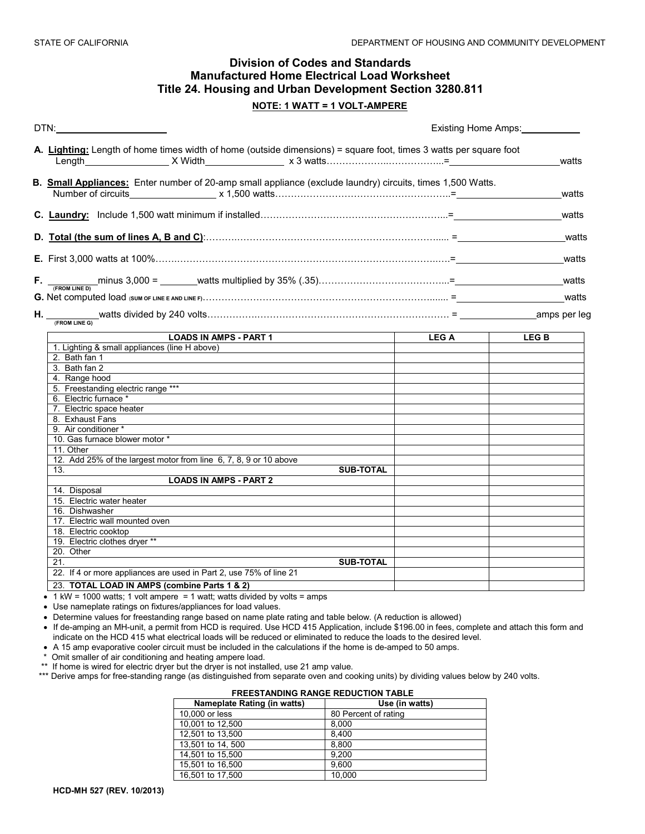# **Division of Codes and Standards Manufactured Home Electrical Load Worksheet Title 24. Housing and Urban Development Section 3280.811**

### **NOTE: 1 WATT = 1 VOLT-AMPERE**

| DTN:                                                                                                              | Existing Home Amps: |             |  |
|-------------------------------------------------------------------------------------------------------------------|---------------------|-------------|--|
| A. Lighting: Length of home times width of home (outside dimensions) = square foot, times 3 watts per square foot |                     | watts       |  |
| B. Small Appliances: Enter number of 20-amp small appliance (exclude laundry) circuits, times 1,500 Watts.        |                     | watts       |  |
|                                                                                                                   |                     | watts       |  |
|                                                                                                                   |                     | watts       |  |
|                                                                                                                   |                     | watts       |  |
|                                                                                                                   |                     | watts       |  |
|                                                                                                                   |                     | watts       |  |
|                                                                                                                   |                     |             |  |
| <b>LOADS IN AMPS - PART 1</b>                                                                                     | <b>LEGA</b>         | <b>LEGB</b> |  |
| 1. Lighting & small appliances (line H above)                                                                     |                     |             |  |
| 2. Bath fan 1<br>3. Bath fan 2                                                                                    |                     |             |  |
| 4. Range hood                                                                                                     |                     |             |  |
| 5. Freestanding electric range ***                                                                                |                     |             |  |
| 6. Electric furnace *                                                                                             |                     |             |  |
| 7. Electric space heater                                                                                          |                     |             |  |
| 8. Exhaust Fans                                                                                                   |                     |             |  |
| 9. Air conditioner *                                                                                              |                     |             |  |
| 10. Gas furnace blower motor *                                                                                    |                     |             |  |
| 11. Other                                                                                                         |                     |             |  |
| 12. Add 25% of the largest motor from line 6, 7, 8, 9 or 10 above                                                 |                     |             |  |
| <b>SUB-TOTAL</b><br>13.                                                                                           |                     |             |  |
| <b>LOADS IN AMPS - PART 2</b>                                                                                     |                     |             |  |
| 14. Disposal                                                                                                      |                     |             |  |
| 15. Electric water heater                                                                                         |                     |             |  |
| 16. Dishwasher                                                                                                    |                     |             |  |
| 17. Electric wall mounted oven                                                                                    |                     |             |  |
| 18. Electric cooktop                                                                                              |                     |             |  |
| 19. Electric clothes dryer **                                                                                     |                     |             |  |
| 20. Other                                                                                                         |                     |             |  |
| 21.<br><b>SUB-TOTAL</b>                                                                                           |                     |             |  |
| 22. If 4 or more appliances are used in Part 2, use 75% of line 21                                                |                     |             |  |
| 23. TOTAL LOAD IN AMPS (combine Parts 1 & 2)                                                                      |                     |             |  |

 $\bullet$  1 kW = 1000 watts; 1 volt ampere = 1 watt; watts divided by volts = amps

• Use nameplate ratings on fixtures/appliances for load values.

• Determine values for freestanding range based on name plate rating and table below. (A reduction is allowed)

• If de-amping an MH-unit, a permit from HCD is required. Use HCD 415 Application, include \$196.00 in fees, complete and attach this form and indicate on the HCD 415 what electrical loads will be reduced or eliminated to reduce the loads to the desired level.

• A 15 amp evaporative cooler circuit must be included in the calculations if the home is de-amped to 50 amps.

\* Omit smaller of air conditioning and heating ampere load.

\*\* If home is wired for electric dryer but the dryer is not installed, use 21 amp value.

\*\*\* Derive amps for free-standing range (as distinguished from separate oven and cooking units) by dividing values below by 240 volts.

| <b>FREESTANDING RANGE REDUCTION TABLE</b> |                      |  |  |  |
|-------------------------------------------|----------------------|--|--|--|
| Nameplate Rating (in watts)               | Use (in watts)       |  |  |  |
| 10,000 or less                            | 80 Percent of rating |  |  |  |
| 10,001 to 12,500                          | 8.000                |  |  |  |
| 12,501 to 13,500                          | 8.400                |  |  |  |
| 13,501 to 14, 500                         | 8.800                |  |  |  |
| 14,501 to 15,500                          | 9.200                |  |  |  |
| 15,501 to 16,500                          | 9.600                |  |  |  |
| 16,501 to 17,500                          | 10,000               |  |  |  |